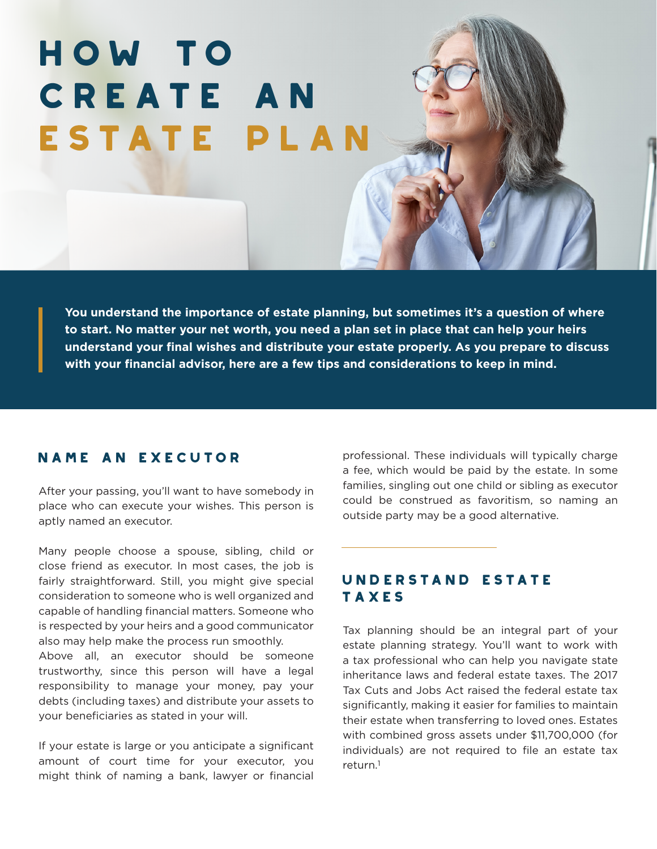# How to Create an Estate Plan

**You understand the importance of estate planning, but sometimes it's a question of where to start. No matter your net worth, you need a plan set in place that can help your heirs understand your final wishes and distribute your estate properly. As you prepare to discuss with your financial advisor, here are a few tips and considerations to keep in mind.**

### Name an Executor

After your passing, you'll want to have somebody in place who can execute your wishes. This person is aptly named an executor.

Many people choose a spouse, sibling, child or close friend as executor. In most cases, the job is fairly straightforward. Still, you might give special consideration to someone who is well organized and capable of handling financial matters. Someone who is respected by your heirs and a good communicator also may help make the process run smoothly.

Above all, an executor should be someone trustworthy, since this person will have a legal responsibility to manage your money, pay your debts (including taxes) and distribute your assets to your beneficiaries as stated in your will.

If your estate is large or you anticipate a significant amount of court time for your executor, you might think of naming a bank, lawyer or financial

professional. These individuals will typically charge a fee, which would be paid by the estate. In some families, singling out one child or sibling as executor could be construed as favoritism, so naming an outside party may be a good alternative.

# Understand Estate Taxes

Tax planning should be an integral part of your estate planning strategy. You'll want to work with a tax professional who can help you navigate state inheritance laws and federal estate taxes. The 2017 Tax Cuts and Jobs Act raised the federal estate tax significantly, making it easier for families to maintain their estate when transferring to loved ones. Estates with combined gross assets under \$11,700,000 (for individuals) are not required to file an estate tax return.1